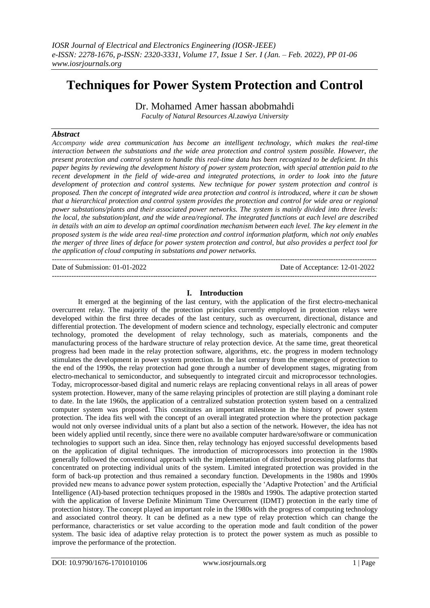# **Techniques for Power System Protection and Control**

Dr. Mohamed Amer hassan abobmahdi *Faculty of Natural Resources Al.zawiya University*

### *Abstract*

*Accompany wide area communication has become an intelligent technology, which makes the real-time interaction between the substations and the wide area protection and control system possible. However, the present protection and control system to handle this real-time data has been recognized to be deficient. In this paper begins by reviewing the development history of power system protection, with special attention paid to the recent development in the field of wide-area and integrated protections, in order to look into the future development of protection and control systems. New technique for power system protection and control is proposed. Then the concept of integrated wide area protection and control is introduced, where it can be shown that a hierarchical protection and control system provides the protection and control for wide area or regional power substations/plants and their associated power networks. The system is mainly divided into three levels: the local, the substation/plant, and the wide area/regional. The integrated functions at each level are described in details with an aim to develop an optimal coordination mechanism between each level. The key element in the proposed system is the wide area real-time protection and control information platform, which not only enables the merger of three lines of deface for power system protection and control, but also provides a perfect tool for the application of cloud computing in substations and power networks.*

Date of Submission: 01-01-2022 Date of Acceptance: 12-01-2022

#### **I. Introduction**

---------------------------------------------------------------------------------------------------------------------------------------

---------------------------------------------------------------------------------------------------------------------------------------

It emerged at the beginning of the last century, with the application of the first electro-mechanical overcurrent relay. The majority of the protection principles currently employed in protection relays were developed within the first three decades of the last century, such as overcurrent, directional, distance and differential protection. The development of modern science and technology, especially electronic and computer technology, promoted the development of relay technology, such as materials, components and the manufacturing process of the hardware structure of relay protection device. At the same time, great theoretical progress had been made in the relay protection software, algorithms, etc. the progress in modern technology stimulates the development in power system protection. In the last century from the emergence of protection to the end of the 1990s, the relay protection had gone through a number of development stages, migrating from electro-mechanical to semiconductor, and subsequently to integrated circuit and microprocessor technologies. Today, microprocessor-based digital and numeric relays are replacing conventional relays in all areas of power system protection. However, many of the same relaying principles of protection are still playing a dominant role to date. In the late 1960s, the application of a centralized substation protection system based on a centralized computer system was proposed. This constitutes an important milestone in the history of power system protection. The idea fits well with the concept of an overall integrated protection where the protection package would not only oversee individual units of a plant but also a section of the network. However, the idea has not been widely applied until recently, since there were no available computer hardware/software or communication technologies to support such an idea. Since then, relay technology has enjoyed successful developments based on the application of digital techniques. The introduction of microprocessors into protection in the 1980s generally followed the conventional approach with the implementation of distributed processing platforms that concentrated on protecting individual units of the system. Limited integrated protection was provided in the form of back-up protection and thus remained a secondary function. Developments in the 1980s and 1990s provided new means to advance power system protection, especially the 'Adaptive Protection' and the Artificial Intelligence (AI)-based protection techniques proposed in the 1980s and 1990s. The adaptive protection started with the application of Inverse Definite Minimum Time Overcurrent (IDMT) protection in the early time of protection history. The concept played an important role in the 1980s with the progress of computing technology and associated control theory. It can be defined as a new type of relay protection which can change the performance, characteristics or set value according to the operation mode and fault condition of the power system. The basic idea of adaptive relay protection is to protect the power system as much as possible to improve the performance of the protection.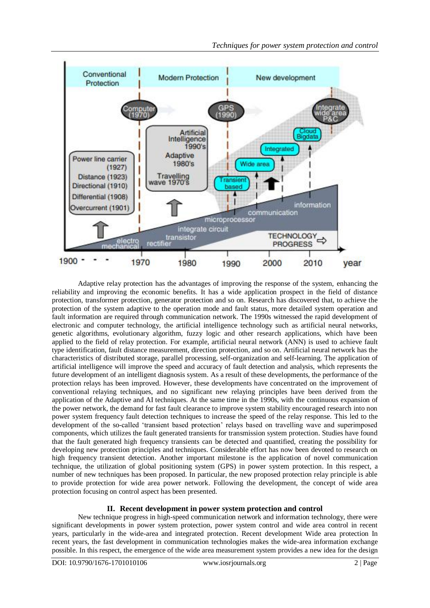

Adaptive relay protection has the advantages of improving the response of the system, enhancing the reliability and improving the economic benefits. It has a wide application prospect in the field of distance protection, transformer protection, generator protection and so on. Research has discovered that, to achieve the protection of the system adaptive to the operation mode and fault status, more detailed system operation and fault information are required through communication network. The 1990s witnessed the rapid development of electronic and computer technology, the artificial intelligence technology such as artificial neural networks, genetic algorithms, evolutionary algorithm, fuzzy logic and other research applications, which have been applied to the field of relay protection. For example, artificial neural network (ANN) is used to achieve fault type identification, fault distance measurement, direction protection, and so on. Artificial neural network has the characteristics of distributed storage, parallel processing, self-organization and self-learning. The application of artificial intelligence will improve the speed and accuracy of fault detection and analysis, which represents the future development of an intelligent diagnosis system. As a result of these developments, the performance of the protection relays has been improved. However, these developments have concentrated on the improvement of conventional relaying techniques, and no significant new relaying principles have been derived from the application of the Adaptive and AI techniques. At the same time in the 1990s, with the continuous expansion of the power network, the demand for fast fault clearance to improve system stability encouraged research into non power system frequency fault detection techniques to increase the speed of the relay response. This led to the development of the so-called 'transient based protection' relays based on travelling wave and superimposed components, which utilizes the fault generated transients for transmission system protection. Studies have found that the fault generated high frequency transients can be detected and quantified, creating the possibility for developing new protection principles and techniques. Considerable effort has now been devoted to research on high frequency transient detection. Another important milestone is the application of novel communication technique, the utilization of global positioning system (GPS) in power system protection. In this respect, a number of new techniques has been proposed. In particular, the new proposed protection relay principle is able to provide protection for wide area power network. Following the development, the concept of wide area protection focusing on control aspect has been presented.

## **II. Recent development in power system protection and control**

New technique progress in high-speed communication network and information technology, there were significant developments in power system protection, power system control and wide area control in recent years, particularly in the wide-area and integrated protection. Recent development Wide area protection In recent years, the fast development in communication technologies makes the wide-area information exchange possible. In this respect, the emergence of the wide area measurement system provides a new idea for the design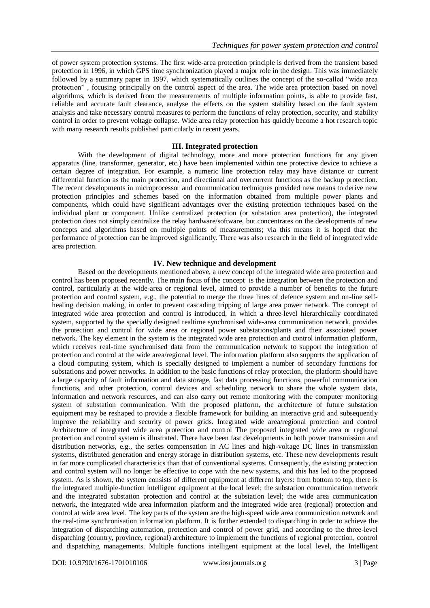of power system protection systems. The first wide-area protection principle is derived from the transient based protection in 1996, in which GPS time synchronization played a major role in the design. This was immediately followed by a summary paper in 1997, which systematically outlines the concept of the so-called "wide area protection" , focusing principally on the control aspect of the area. The wide area protection based on novel algorithms, which is derived from the measurements of multiple information points, is able to provide fast, reliable and accurate fault clearance, analyse the effects on the system stability based on the fault system analysis and take necessary control measures to perform the functions of relay protection, security, and stability control in order to prevent voltage collapse. Wide area relay protection has quickly become a hot research topic with many research results published particularly in recent years.

### **III. Integrated protection**

With the development of digital technology, more and more protection functions for any given apparatus (line, transformer, generator, etc.) have been implemented within one protective device to achieve a certain degree of integration. For example, a numeric line protection relay may have distance or current differential function as the main protection, and directional and overcurrent functions as the backup protection. The recent developments in microprocessor and communication techniques provided new means to derive new protection principles and schemes based on the information obtained from multiple power plants and components, which could have significant advantages over the existing protection techniques based on the individual plant or component. Unlike centralized protection (or substation area protection), the integrated protection does not simply centralize the relay hardware/software, but concentrates on the developments of new concepts and algorithms based on multiple points of measurements; via this means it is hoped that the performance of protection can be improved significantly. There was also research in the field of integrated wide area protection.

## **IV. New technique and development**

Based on the developments mentioned above, a new concept of the integrated wide area protection and control has been proposed recently. The main focus of the concept is the integration between the protection and control, particularly at the wide-area or regional level, aimed to provide a number of benefits to the future protection and control system, e.g., the potential to merge the three lines of defence system and on-line selfhealing decision making, in order to prevent cascading tripping of large area power network. The concept of integrated wide area protection and control is introduced, in which a three-level hierarchically coordinated system, supported by the specially designed realtime synchronised wide-area communication network, provides the protection and control for wide area or regional power substations/plants and their associated power network. The key element in the system is the integrated wide area protection and control information platform, which receives real-time synchronised data from the communication network to support the integration of protection and control at the wide area/regional level. The information platform also supports the application of a cloud computing system, which is specially designed to implement a number of secondary functions for substations and power networks. In addition to the basic functions of relay protection, the platform should have a large capacity of fault information and data storage, fast data processing functions, powerful communication functions, and other protection, control devices and scheduling network to share the whole system data, information and network resources, and can also carry out remote monitoring with the computer monitoring system of substation communication. With the proposed platform, the architecture of future substation equipment may be reshaped to provide a flexible framework for building an interactive grid and subsequently improve the reliability and security of power grids. Integrated wide area/regional protection and control Architecture of integrated wide area protection and control The proposed integrated wide area or regional protection and control system is illustrated. There have been fast developments in both power transmission and distribution networks, e.g., the series compensation in AC lines and high-voltage DC lines in transmission systems, distributed generation and energy storage in distribution systems, etc. These new developments result in far more complicated characteristics than that of conventional systems. Consequently, the existing protection and control system will no longer be effective to cope with the new systems, and this has led to the proposed system. As is shown, the system consists of different equipment at different layers: from bottom to top, there is the integrated multiple-function intelligent equipment at the local level; the substation communication network and the integrated substation protection and control at the substation level; the wide area communication network, the integrated wide area information platform and the integrated wide area (regional) protection and control at wide area level. The key parts of the system are the high-speed wide area communication network and the real-time synchronisation information platform. It is further extended to dispatching in order to achieve the integration of dispatching automation, protection and control of power grid, and according to the three-level dispatching (country, province, regional) architecture to implement the functions of regional protection, control and dispatching managements. Multiple functions intelligent equipment at the local level, the Intelligent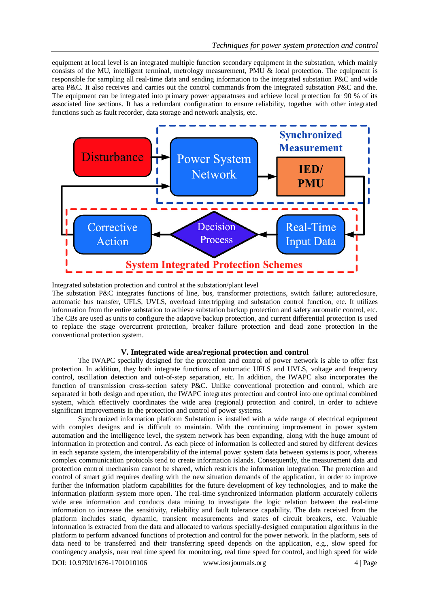equipment at local level is an integrated multiple function secondary equipment in the substation, which mainly consists of the MU, intelligent terminal, metrology measurement, PMU & local protection. The equipment is responsible for sampling all real-time data and sending information to the integrated substation P&C and wide area P&C. It also receives and carries out the control commands from the integrated substation P&C and the. The equipment can be integrated into primary power apparatuses and achieve local protection for 90 % of its associated line sections. It has a redundant configuration to ensure reliability, together with other integrated functions such as fault recorder, data storage and network analysis, etc.



Integrated substation protection and control at the substation/plant level

The substation P&C integrates functions of line, bus, transformer protections, switch failure; autoreclosure, automatic bus transfer, UFLS, UVLS, overload intertripping and substation control function, etc. It utilizes information from the entire substation to achieve substation backup protection and safety automatic control, etc. The CBs are used as units to configure the adaptive backup protection, and current differential protection is used to replace the stage overcurrent protection, breaker failure protection and dead zone protection in the conventional protection system.

#### **V. Integrated wide area/regional protection and control**

The IWAPC specially designed for the protection and control of power network is able to offer fast protection. In addition, they both integrate functions of automatic UFLS and UVLS, voltage and frequency control, oscillation detection and out-of-step separation, etc. In addition, the IWAPC also incorporates the function of transmission cross-section safety P&C. Unlike conventional protection and control, which are separated in both design and operation, the IWAPC integrates protection and control into one optimal combined system, which effectively coordinates the wide area (regional) protection and control, in order to achieve significant improvements in the protection and control of power systems.

Synchronized information platform Substation is installed with a wide range of electrical equipment with complex designs and is difficult to maintain. With the continuing improvement in power system automation and the intelligence level, the system network has been expanding, along with the huge amount of information in protection and control. As each piece of information is collected and stored by different devices in each separate system, the interoperability of the internal power system data between systems is poor, whereas complex communication protocols tend to create information islands. Consequently, the measurement data and protection control mechanism cannot be shared, which restricts the information integration. The protection and control of smart grid requires dealing with the new situation demands of the application, in order to improve further the information platform capabilities for the future development of key technologies, and to make the information platform system more open. The real-time synchronized information platform accurately collects wide area information and conducts data mining to investigate the logic relation between the real-time information to increase the sensitivity, reliability and fault tolerance capability. The data received from the platform includes static, dynamic, transient measurements and states of circuit breakers, etc. Valuable information is extracted from the data and allocated to various specially-designed computation algorithms in the platform to perform advanced functions of protection and control for the power network. In the platform, sets of data need to be transferred and their transferring speed depends on the application, e.g., slow speed for contingency analysis, near real time speed for monitoring, real time speed for control, and high speed for wide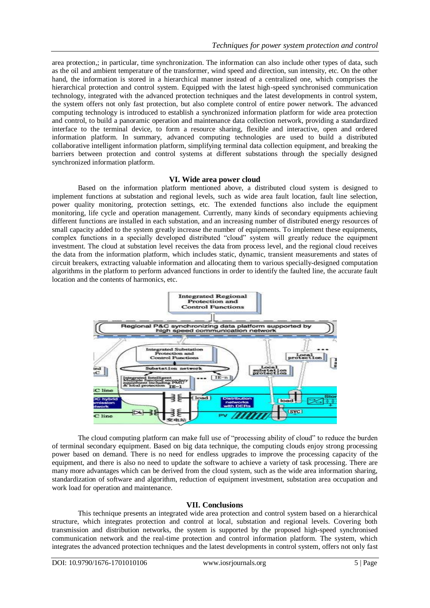area protection,; in particular, time synchronization. The information can also include other types of data, such as the oil and ambient temperature of the transformer, wind speed and direction, sun intensity, etc. On the other hand, the information is stored in a hierarchical manner instead of a centralized one, which comprises the hierarchical protection and control system. Equipped with the latest high-speed synchronised communication technology, integrated with the advanced protection techniques and the latest developments in control system, the system offers not only fast protection, but also complete control of entire power network. The advanced computing technology is introduced to establish a synchronized information platform for wide area protection and control, to build a panoramic operation and maintenance data collection network, providing a standardized interface to the terminal device, to form a resource sharing, flexible and interactive, open and ordered information platform. In summary, advanced computing technologies are used to build a distributed collaborative intelligent information platform, simplifying terminal data collection equipment, and breaking the barriers between protection and control systems at different substations through the specially designed synchronized information platform.

#### **VI. Wide area power cloud**

Based on the information platform mentioned above, a distributed cloud system is designed to implement functions at substation and regional levels, such as wide area fault location, fault line selection, power quality monitoring, protection settings, etc. The extended functions also include the equipment monitoring, life cycle and operation management. Currently, many kinds of secondary equipments achieving different functions are installed in each substation, and an increasing number of distributed energy resources of small capacity added to the system greatly increase the number of equipments. To implement these equipments, complex functions in a specially developed distributed "cloud" system will greatly reduce the equipment investment. The cloud at substation level receives the data from process level, and the regional cloud receives the data from the information platform, which includes static, dynamic, transient measurements and states of circuit breakers, extracting valuable information and allocating them to various specially-designed computation algorithms in the platform to perform advanced functions in order to identify the faulted line, the accurate fault location and the contents of harmonics, etc.



The cloud computing platform can make full use of "processing ability of cloud" to reduce the burden of terminal secondary equipment. Based on big data technique, the computing clouds enjoy strong processing power based on demand. There is no need for endless upgrades to improve the processing capacity of the equipment, and there is also no need to update the software to achieve a variety of task processing. There are many more advantages which can be derived from the cloud system, such as the wide area information sharing, standardization of software and algorithm, reduction of equipment investment, substation area occupation and work load for operation and maintenance.

#### **VII. Conclusions**

This technique presents an integrated wide area protection and control system based on a hierarchical structure, which integrates protection and control at local, substation and regional levels. Covering both transmission and distribution networks, the system is supported by the proposed high-speed synchronised communication network and the real-time protection and control information platform. The system, which integrates the advanced protection techniques and the latest developments in control system, offers not only fast